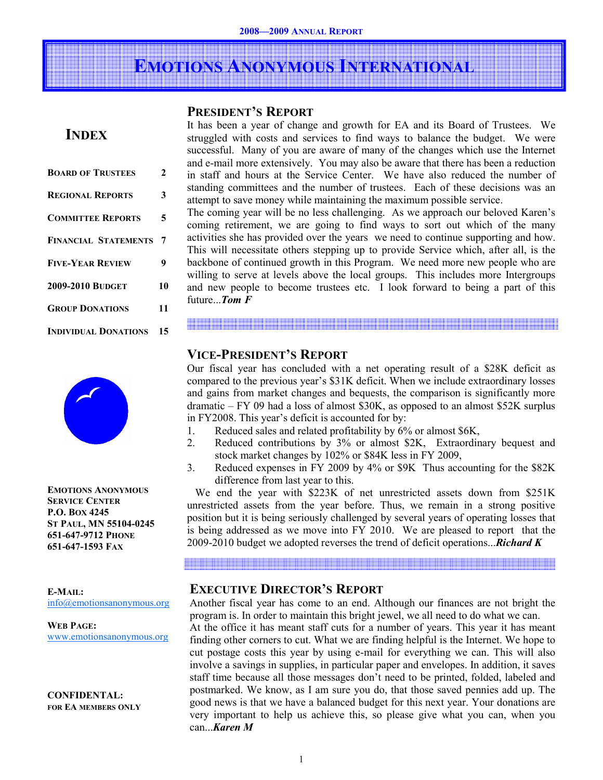## EMOTIONS ANONYMOUS INTERNATIONAL

## PRESIDENT'S REPORT

## **INDEX**

| <b>BOARD OF TRUSTEES</b>    | 2  |
|-----------------------------|----|
| <b>REGIONAL REPORTS</b>     | 3  |
| <b>COMMITTEE REPORTS</b>    | 5  |
| <b>FINANCIAL STATEMENTS</b> | 7  |
| <b>FIVE-YEAR REVIEW</b>     | 9  |
| <b>2009-2010 BUDGET</b>     | 10 |
| <b>GROUP DONATIONS</b>      | 11 |
| <b>INDIVIDUAL DONATIONS</b> | 15 |



EMOTIONS ANONYMOUS SERVICE CENTER P.O. BOX 4245 ST PAUL, MN 55104-0245 651-647-9712 PHONE 651-647-1593 FAX

E-MAIL: info@emotionsanonymous.org

WEB PAGE: www.emotionsanonymous.org

CONFIDENTAL: FOR EA MEMBERS ONLY It has been a year of change and growth for EA and its Board of Trustees. We struggled with costs and services to find ways to balance the budget. We were successful. Many of you are aware of many of the changes which use the Internet and e-mail more extensively. You may also be aware that there has been a reduction in staff and hours at the Service Center. We have also reduced the number of standing committees and the number of trustees. Each of these decisions was an attempt to save money while maintaining the maximum possible service.

The coming year will be no less challenging. As we approach our beloved Karen's coming retirement, we are going to find ways to sort out which of the many activities she has provided over the years we need to continue supporting and how. This will necessitate others stepping up to provide Service which, after all, is the backbone of continued growth in this Program. We need more new people who are willing to serve at levels above the local groups. This includes more Intergroups and new people to become trustees etc. I look forward to being a part of this future...Tom F

and the state of the state of the

## VICE-PRESIDENT'S REPORT

Our fiscal year has concluded with a net operating result of a \$28K deficit as compared to the previous year's \$31K deficit. When we include extraordinary losses and gains from market changes and bequests, the comparison is significantly more dramatic – FY 09 had a loss of almost \$30K, as opposed to an almost \$52K surplus in FY2008. This year's deficit is accounted for by:

- 1. Reduced sales and related profitability by 6% or almost \$6K,
- 2. Reduced contributions by 3% or almost \$2K, Extraordinary bequest and stock market changes by 102% or \$84K less in FY 2009,
- 3. Reduced expenses in FY 2009 by 4% or \$9K Thus accounting for the \$82K difference from last year to this.

 We end the year with \$223K of net unrestricted assets down from \$251K unrestricted assets from the year before. Thus, we remain in a strong positive position but it is being seriously challenged by several years of operating losses that is being addressed as we move into FY 2010. We are pleased to report that the 2009-2010 budget we adopted reverses the trend of deficit operations... **Richard K** 

## EXECUTIVE DIRECTOR'S REPORT

Another fiscal year has come to an end. Although our finances are not bright the program is. In order to maintain this bright jewel, we all need to do what we can. At the office it has meant staff cuts for a number of years. This year it has meant finding other corners to cut. What we are finding helpful is the Internet. We hope to cut postage costs this year by using e-mail for everything we can. This will also involve a savings in supplies, in particular paper and envelopes. In addition, it saves staff time because all those messages don't need to be printed, folded, labeled and postmarked. We know, as I am sure you do, that those saved pennies add up. The good news is that we have a balanced budget for this next year. Your donations are very important to help us achieve this, so please give what you can, when you can...Karen M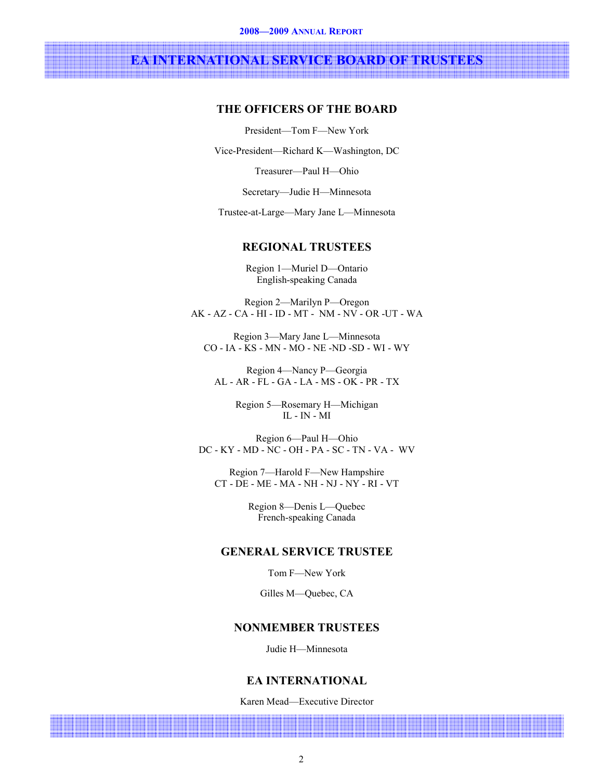# EA INTERNATIONAL SERVICE BOARD OF TRUSTEES

## THE OFFICERS OF THE BOARD

President—Tom F—New York

Vice-President—Richard K—Washington, DC

Treasurer—Paul H—Ohio

Secretary—Judie H—Minnesota

Trustee-at-Large—Mary Jane L—Minnesota

## REGIONAL TRUSTEES

Region 1—Muriel D—Ontario English-speaking Canada

Region 2—Marilyn P—Oregon AK - AZ - CA - HI - ID - MT - NM - NV - OR -UT - WA

Region 3—Mary Jane L—Minnesota CO - IA - KS - MN - MO - NE -ND -SD - WI - WY

Region 4—Nancy P—Georgia AL - AR - FL - GA - LA - MS - OK - PR - TX

> Region 5—Rosemary H—Michigan IL - IN - MI

Region 6—Paul H—Ohio DC - KY - MD - NC - OH - PA - SC - TN - VA - WV

Region 7—Harold F—New Hampshire CT - DE - ME - MA - NH - NJ - NY - RI - VT

> Region 8—Denis L—Quebec French-speaking Canada

## GENERAL SERVICE TRUSTEE

Tom F—New York

Gilles M—Quebec, CA

## NONMEMBER TRUSTEES

Judie H—Minnesota

## EA INTERNATIONAL

Karen Mead—Executive Director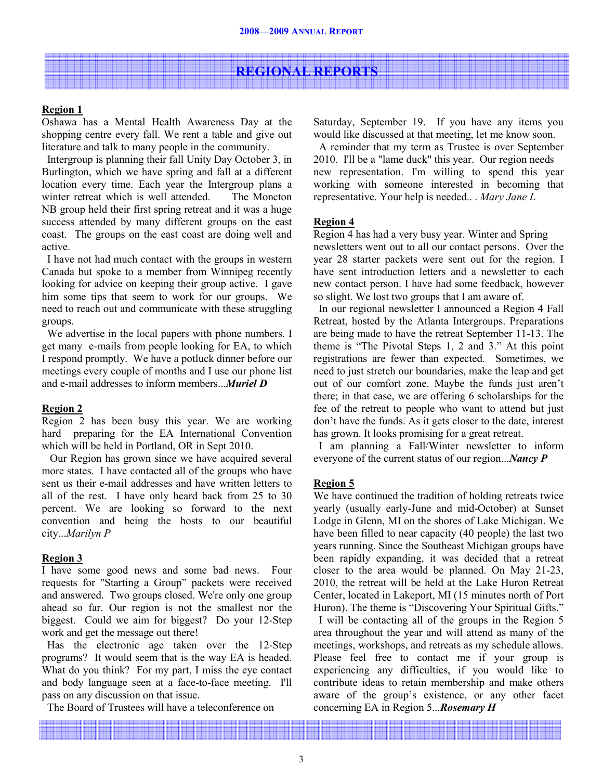## REGIONAL REPORTS

## Region 1

Oshawa has a Mental Health Awareness Day at the shopping centre every fall. We rent a table and give out literature and talk to many people in the community.

 Intergroup is planning their fall Unity Day October 3, in Burlington, which we have spring and fall at a different location every time. Each year the Intergroup plans a winter retreat which is well attended. The Moncton NB group held their first spring retreat and it was a huge success attended by many different groups on the east coast. The groups on the east coast are doing well and active.

 I have not had much contact with the groups in western Canada but spoke to a member from Winnipeg recently looking for advice on keeping their group active. I gave him some tips that seem to work for our groups. We need to reach out and communicate with these struggling groups.

 We advertise in the local papers with phone numbers. I get many e-mails from people looking for EA, to which I respond promptly. We have a potluck dinner before our meetings every couple of months and I use our phone list and e-mail addresses to inform members...Muriel D

## Region 2

Region 2 has been busy this year. We are working hard preparing for the EA International Convention which will be held in Portland, OR in Sept 2010.

 Our Region has grown since we have acquired several more states. I have contacted all of the groups who have sent us their e-mail addresses and have written letters to all of the rest. I have only heard back from 25 to 30 percent. We are looking so forward to the next convention and being the hosts to our beautiful city...Marilyn P

## Region 3

I have some good news and some bad news. Four requests for "Starting a Group" packets were received and answered. Two groups closed. We're only one group ahead so far. Our region is not the smallest nor the biggest. Could we aim for biggest? Do your 12-Step work and get the message out there!

 Has the electronic age taken over the 12-Step programs? It would seem that is the way EA is headed. What do you think? For my part, I miss the eye contact and body language seen at a face-to-face meeting. I'll pass on any discussion on that issue.

The Board of Trustees will have a teleconference on

Saturday, September 19. If you have any items you would like discussed at that meeting, let me know soon.

 A reminder that my term as Trustee is over September 2010. I'll be a "lame duck" this year. Our region needs new representation. I'm willing to spend this year working with someone interested in becoming that representative. Your help is needed.. . Mary Jane L

## Region 4

Region 4 has had a very busy year. Winter and Spring newsletters went out to all our contact persons. Over the year 28 starter packets were sent out for the region. I have sent introduction letters and a newsletter to each new contact person. I have had some feedback, however so slight. We lost two groups that I am aware of.

 In our regional newsletter I announced a Region 4 Fall Retreat, hosted by the Atlanta Intergroups. Preparations are being made to have the retreat September 11-13. The theme is "The Pivotal Steps 1, 2 and 3." At this point registrations are fewer than expected. Sometimes, we need to just stretch our boundaries, make the leap and get out of our comfort zone. Maybe the funds just aren't there; in that case, we are offering 6 scholarships for the fee of the retreat to people who want to attend but just don't have the funds. As it gets closer to the date, interest has grown. It looks promising for a great retreat.

 I am planning a Fall/Winter newsletter to inform everyone of the current status of our region...Nancy P

## Region 5

We have continued the tradition of holding retreats twice yearly (usually early-June and mid-October) at Sunset Lodge in Glenn, MI on the shores of Lake Michigan. We have been filled to near capacity (40 people) the last two years running. Since the Southeast Michigan groups have been rapidly expanding, it was decided that a retreat closer to the area would be planned. On May 21-23, 2010, the retreat will be held at the Lake Huron Retreat Center, located in Lakeport, MI (15 minutes north of Port Huron). The theme is "Discovering Your Spiritual Gifts." I will be contacting all of the groups in the Region 5 area throughout the year and will attend as many of the meetings, workshops, and retreats as my schedule allows. Please feel free to contact me if your group is experiencing any difficulties, if you would like to contribute ideas to retain membership and make others aware of the group's existence, or any other facet concerning EA in Region 5... **Rosemary H**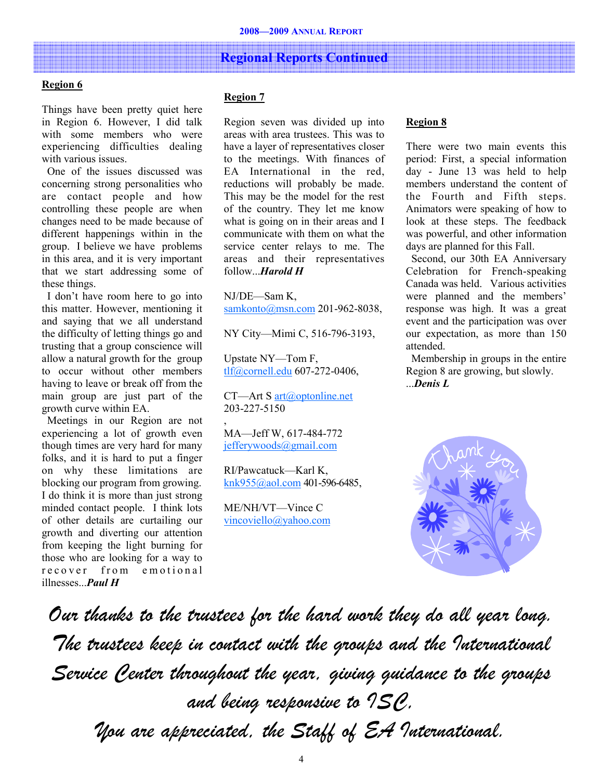## Regional Reports Continued

### Region 6

Things have been pretty quiet here in Region 6. However, I did talk with some members who were experiencing difficulties dealing with various issues.

 One of the issues discussed was concerning strong personalities who are contact people and how controlling these people are when changes need to be made because of different happenings within in the group. I believe we have problems in this area, and it is very important that we start addressing some of these things.

 I don't have room here to go into this matter. However, mentioning it and saying that we all understand the difficulty of letting things go and trusting that a group conscience will allow a natural growth for the group to occur without other members having to leave or break off from the main group are just part of the growth curve within EA.

 Meetings in our Region are not experiencing a lot of growth even though times are very hard for many folks, and it is hard to put a finger on why these limitations are blocking our program from growing. I do think it is more than just strong minded contact people. I think lots of other details are curtailing our growth and diverting our attention from keeping the light burning for those who are looking for a way to recover from emotional illnesses...Paul H

## Region 7

Region seven was divided up into areas with area trustees. This was to have a layer of representatives closer to the meetings. With finances of EA International in the red, reductions will probably be made. This may be the model for the rest of the country. They let me know what is going on in their areas and I communicate with them on what the service center relays to me. The areas and their representatives follow...Harold H

NJ/DE—Sam K, samkonto@msn.com 201-962-8038,

NY City—Mimi C, 516-796-3193,

Upstate NY—Tom F, tlf@cornell.edu 607-272-0406,

CT—Art S art@optonline.net 203-227-5150

MA—Jeff W, 617-484-772 jefferywoods@gmail.com

,

RI/Pawcatuck—Karl K, knk955@aol.com 401-596-6485,

ME/NH/VT—Vince C vincoviello@yahoo.com

#### Region 8

There were two main events this period: First, a special information day - June 13 was held to help members understand the content of the Fourth and Fifth steps. Animators were speaking of how to look at these steps. The feedback was powerful, and other information days are planned for this Fall.

 Second, our 30th EA Anniversary Celebration for French-speaking Canada was held. Various activities were planned and the members' response was high. It was a great event and the participation was over our expectation, as more than 150 attended.

 Membership in groups in the entire Region 8 are growing, but slowly. ...Denis L



Our thanks to the trustees for the hard work they do all year long. The trustees keep in contact with the groups and the International Service Center throughout the year, giving guidance to the groups and being responsive to ISC, You are appreciated, the Staff of EA International.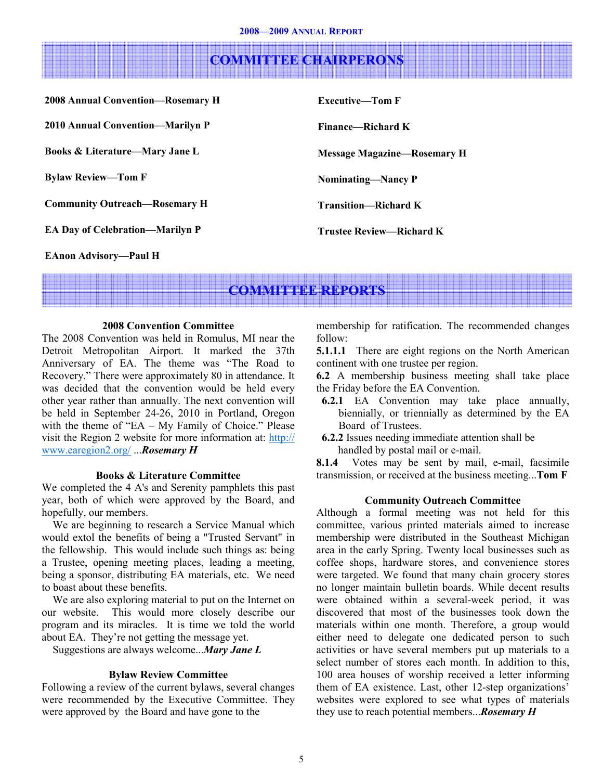## COMMITTEE CHAIRPERONS

2008 Annual Convention—Rosemary H 2010 Annual Convention—Marilyn P Books & Literature—Mary Jane L Bylaw Review—Tom F Community Outreach—Rosemary H

EA Day of Celebration—Marilyn P

Executive—Tom F Finance—Richard K Message Magazine—Rosemary H Nominating—Nancy P Transition—Richard K Trustee Review—Richard K

EAnon Advisory—Paul H

## COMMITTEE REPORTS

## 2008 Convention Committee

The 2008 Convention was held in Romulus, MI near the Detroit Metropolitan Airport. It marked the 37th Anniversary of EA. The theme was "The Road to Recovery." There were approximately 80 in attendance. It was decided that the convention would be held every other year rather than annually. The next convention will be held in September 24-26, 2010 in Portland, Oregon with the theme of "EA – My Family of Choice." Please visit the Region 2 website for more information at: http:// www.earegion2.org/ ...Rosemary H

## Books & Literature Committee

We completed the 4 A's and Serenity pamphlets this past year, both of which were approved by the Board, and hopefully, our members.

 We are beginning to research a Service Manual which would extol the benefits of being a "Trusted Servant" in the fellowship. This would include such things as: being a Trustee, opening meeting places, leading a meeting, being a sponsor, distributing EA materials, etc. We need to boast about these benefits.

 We are also exploring material to put on the Internet on our website. This would more closely describe our program and its miracles. It is time we told the world about EA. They're not getting the message yet.

Suggestions are always welcome...Mary Jane L

## Bylaw Review Committee

Following a review of the current bylaws, several changes were recommended by the Executive Committee. They were approved by the Board and have gone to the

membership for ratification. The recommended changes follow:

**5.1.1.1** There are eight regions on the North American continent with one trustee per region.

6.2 A membership business meeting shall take place the Friday before the EA Convention.

- 6.2.1 EA Convention may take place annually, biennially, or triennially as determined by the EA Board of Trustees.
- 6.2.2 Issues needing immediate attention shall be handled by postal mail or e-mail.

8.1.4 Votes may be sent by mail, e-mail, facsimile transmission, or received at the business meeting...Tom F

## Community Outreach Committee

Although a formal meeting was not held for this committee, various printed materials aimed to increase membership were distributed in the Southeast Michigan area in the early Spring. Twenty local businesses such as coffee shops, hardware stores, and convenience stores were targeted. We found that many chain grocery stores no longer maintain bulletin boards. While decent results were obtained within a several-week period, it was discovered that most of the businesses took down the materials within one month. Therefore, a group would either need to delegate one dedicated person to such activities or have several members put up materials to a select number of stores each month. In addition to this, 100 area houses of worship received a letter informing them of EA existence. Last, other 12-step organizations' websites were explored to see what types of materials they use to reach potential members... **Rosemary H**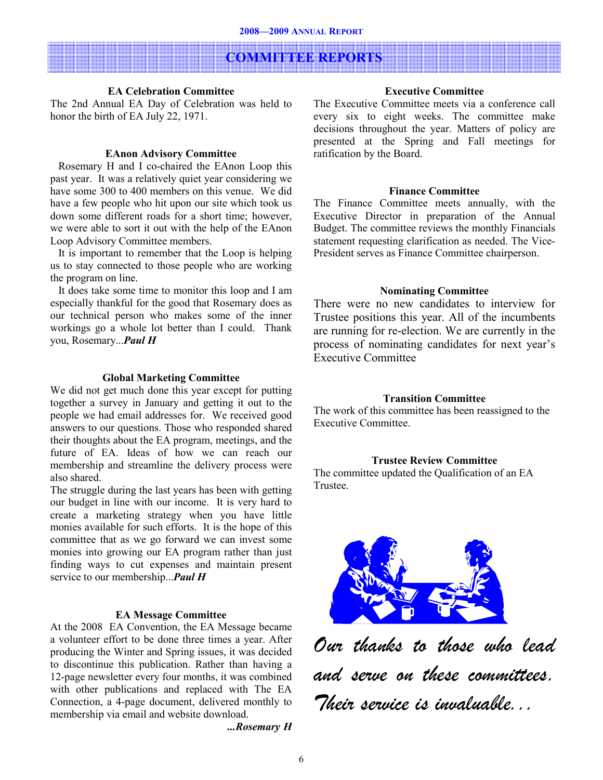## COMMITTEE REPORTS

## EA Celebration Committee

The 2nd Annual EA Day of Celebration was held to honor the birth of EA July 22, 1971.

## EAnon Advisory Committee

 Rosemary H and I co-chaired the EAnon Loop this past year. It was a relatively quiet year considering we have some 300 to 400 members on this venue. We did have a few people who hit upon our site which took us down some different roads for a short time; however, we were able to sort it out with the help of the EAnon Loop Advisory Committee members.

 It is important to remember that the Loop is helping us to stay connected to those people who are working the program on line.

 It does take some time to monitor this loop and I am especially thankful for the good that Rosemary does as our technical person who makes some of the inner workings go a whole lot better than I could. Thank you, Rosemary...Paul H

#### Global Marketing Committee

We did not get much done this year except for putting together a survey in January and getting it out to the people we had email addresses for. We received good answers to our questions. Those who responded shared their thoughts about the EA program, meetings, and the future of EA. Ideas of how we can reach our membership and streamline the delivery process were also shared.

The struggle during the last years has been with getting our budget in line with our income. It is very hard to create a marketing strategy when you have little monies available for such efforts. It is the hope of this committee that as we go forward we can invest some monies into growing our EA program rather than just finding ways to cut expenses and maintain present service to our membership...*Paul H* 

## EA Message Committee

At the 2008 EA Convention, the EA Message became a volunteer effort to be done three times a year. After producing the Winter and Spring issues, it was decided to discontinue this publication. Rather than having a 12-page newsletter every four months, it was combined with other publications and replaced with The EA Connection, a 4-page document, delivered monthly to membership via email and website download.

...Rosemary H

## Executive Committee

The Executive Committee meets via a conference call every six to eight weeks. The committee make decisions throughout the year. Matters of policy are presented at the Spring and Fall meetings for ratification by the Board.

## Finance Committee

The Finance Committee meets annually, with the Executive Director in preparation of the Annual Budget. The committee reviews the monthly Financials statement requesting clarification as needed. The Vice-President serves as Finance Committee chairperson.

### Nominating Committee

There were no new candidates to interview for Trustee positions this year. All of the incumbents are running for re-election. We are currently in the process of nominating candidates for next year's Executive Committee

## Transition Committee

The work of this committee has been reassigned to the Executive Committee.

## Trustee Review Committee

The committee updated the Qualification of an EA Trustee.



Our thanks to those who lead and serve on these committees. Their service is invaluable...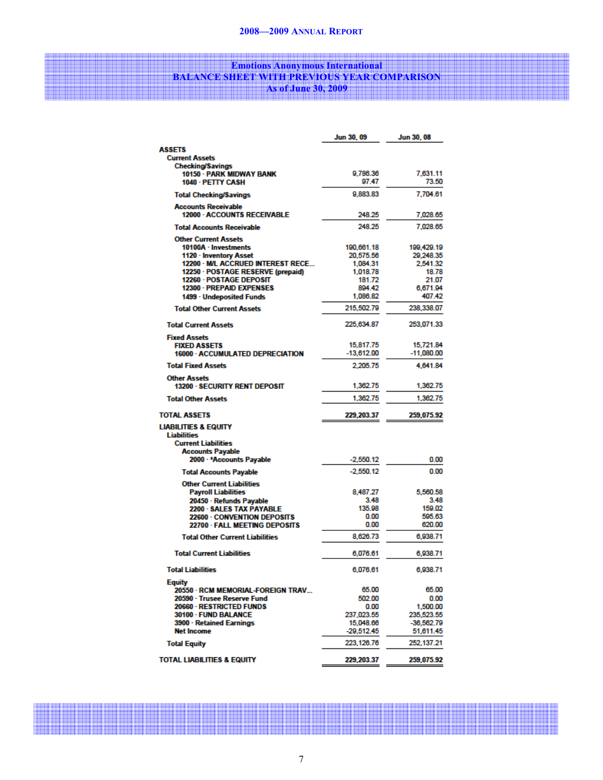## Emotions Anonymous International BALANCE SHEET WITH PREVIOUS YEAR COMPARISON As of June 30, 2009

|                                                                  | Jun 30, 09        | <b>Jun 30, 08</b> |
|------------------------------------------------------------------|-------------------|-------------------|
| <b>ASSETS</b>                                                    |                   |                   |
| <b>Current Assets</b>                                            |                   |                   |
| <b>Checking/Savings</b>                                          |                   |                   |
| 10150 - PARK MIDWAY BANK                                         | 9,786.36<br>97.47 | 7,631.11<br>73.50 |
| 1040 - PETTY CASH                                                |                   |                   |
| <b>Total Checking/Savings</b>                                    | 9.883.83          | 7.704.61          |
| <b>Accounts Receivable</b><br><b>12000 - ACCOUNTS RECEIVABLE</b> | 248.25            | 7,028.65          |
| <b>Total Accounts Receivable</b>                                 | 248.25            | 7,028.65          |
| <b>Other Current Assets</b>                                      |                   |                   |
| 10100A - Investments                                             | 190.661.18        | 199.429.19        |
| 1120 - Inventory Asset                                           | 20,575.56         | 29,248.35         |
| 12200 · M/L ACCRUED INTEREST RECE                                | 1,084.31          | 2,541.32          |
| 12250 · POSTAGE RESERVE (prepaid)                                | 1,018.78          | 18.78             |
| 12260 - POSTAGE DEPOSIT                                          | 181.72            | 21.07             |
| 12300 - PREPAID EXPENSES                                         | 894.42            | 6,671.94          |
| 1499 - Undeposited Funds                                         | 1,086.82          | 407.42            |
| <b>Total Other Current Assets</b>                                | 215,502.79        | 238,338.07        |
| <b>Total Current Assets</b>                                      | 225,634.87        | 253,071.33        |
| <b>Fixed Assets</b>                                              |                   |                   |
| <b>FIXED ASSETS</b>                                              | 15,817.75         | 15,721.84         |
| <b>16000 - ACCUMULATED DEPRECIATION</b>                          | $-13,612.00$      | $-11,080.00$      |
| <b>Total Fixed Assets</b>                                        | 2,205.75          | 4,641.84          |
| <b>Other Assets</b><br><b>13200 - SECURITY RENT DEPOSIT</b>      | 1,362.75          | 1,362.75          |
| <b>Total Other Assets</b>                                        | 1,362.75          | 1,362.75          |
| <b>TOTAL ASSETS</b>                                              | 229.203.37        | 259,075.92        |
| <b>LIABILITIES &amp; EQUITY</b>                                  |                   |                   |
| <b>Liabilities</b>                                               |                   |                   |
| <b>Current Liabilities</b>                                       |                   |                   |
| <b>Accounts Payable</b>                                          |                   |                   |
| 2000 - *Accounts Payable                                         | $-2,550.12$       | 0.00              |
| <b>Total Accounts Payable</b>                                    | $-2.550.12$       | 0.00              |
| <b>Other Current Liabilities</b>                                 |                   |                   |
| <b>Payroll Liabilities</b>                                       | 8,487.27          | 5,560.58          |
| 20450 · Refunds Payable                                          | 3.48              | 3.48              |
| 2200 - SALES TAX PAYABLE                                         | 135.98<br>0.00    | 159.02<br>595.63  |
| 22600 - CONVENTION DEPOSITS<br>22700 - FALL MEETING DEPOSITS     | 0.00              | 620.00            |
| <b>Total Other Current Liabilities</b>                           | 8,626.73          | 6,938.71          |
| <b>Total Current Liabilities</b>                                 | 6,076.61          | 6,938.71          |
| <b>Total Liabilities</b>                                         | 6,076.61          | 6,938.71          |
| <b>Equity</b>                                                    |                   |                   |
| 20550 - RCM MEMORIAL-FOREIGN TRAV                                | 65.00             | 65.00             |
| 20590 · Trusee Reserve Fund                                      | 502.00            | 0.00              |
| 20660 - RESTRICTED FUNDS                                         | 0.00              | 1,500.00          |
| 30100 - FUND BALANCE                                             | 237,023.55        | 235,523.55        |
| 3900 - Retained Earnings                                         | 15,048.66         | $-36,562.79$      |
| <b>Net Income</b>                                                | $-29,512.45$      | 51,611.45         |
| <b>Total Equity</b>                                              | 223, 126.76       | 252,137.21        |
| <b>TOTAL LIABILITIES &amp; EQUITY</b>                            | 229,203.37        | 259,075.92        |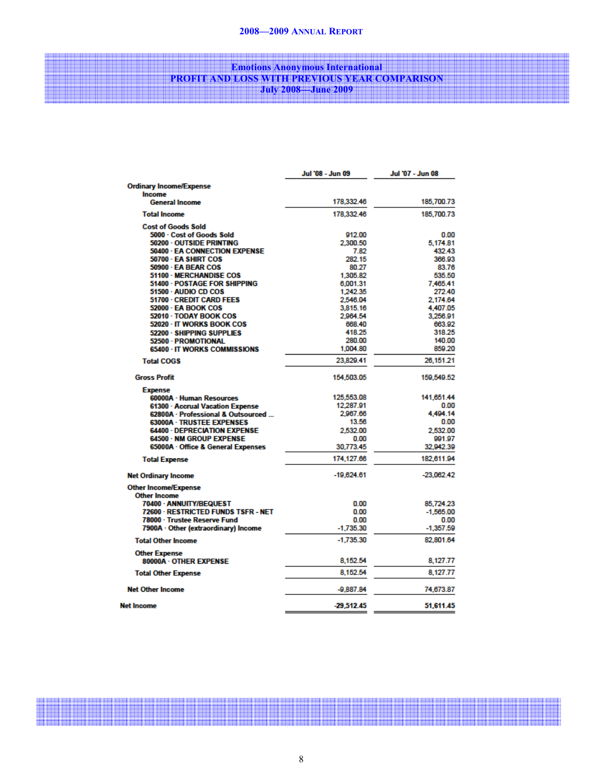#### 2008—2009 ANNUAL REPORT

## **Example 2018** Emotions Anonymous International PROFIT AND LOSS WITH PREVIOUS YEAR COMPARISON July 2008—June 2009

|                                      | Jul '08 - Jun 09 | Jul '07 - Jun 08 |
|--------------------------------------|------------------|------------------|
| <b>Ordinary Income/Expense</b>       |                  |                  |
| <b>Income</b>                        |                  |                  |
| <b>General Income</b>                | 178.332.46       | 185,700.73       |
| <b>Total Income</b>                  | 178,332.46       | 185,700.73       |
| <b>Cost of Goods Sold</b>            |                  |                  |
| 5000 - Cost of Goods Sold            | 912.00           | 0.00             |
| 50200 - OUTSIDE PRINTING             | 2,300.50         | 5,174.81         |
| 50400 - EA CONNECTION EXPENSE        | 7.82             | 432.43           |
| 50700 - EA SHIRT COS                 | 282.15           | 366.93           |
| 50900 - EA BEAR COS                  | 80.27            | 83.76            |
| <b>51100 - MERCHANDISE COS</b>       | 1,305.82         | 535.50           |
| 51400 - POSTAGE FOR SHIPPING         | 6,001.31         | 7.465.41         |
| 51500 - AUDIO CD COS                 | 1,242.35         | 272.40           |
| 51700 - CREDIT CARD FEES             | 2,546.04         | 2,174.64         |
| <b>52000 - EA BOOK COS</b>           | 3,815.16         | 4,407.05         |
| 52010 - TODAY BOOK COS               | 2.964.54         | 3,256.91         |
| 52020 · IT WORKS BOOK COS            | 668.40           | 663.92           |
| 52200 - SHIPPING SUPPLIES            | 418.25           | 318.25           |
| 52500 - PROMOTIONAL                  | 280.00           | 140.00           |
| 65400 · IT WORKS COMMISSIONS         | 1,004.80         | 859.20           |
| <b>Total COGS</b>                    | 23.829.41        | 26,151.21        |
| <b>Gross Profit</b>                  | 154,503.05       | 159,549.52       |
| <b>Expense</b>                       |                  |                  |
| 60000A - Human Resources             | 125,553.08       | 141,651.44       |
| 61300 - Accrual Vacation Expense     | 12.287.91        | 0.00             |
| 62800A · Professional & Outsourced   | 2967.66          | 4.494.14         |
| 63000A · TRUSTEE EXPENSES            | 13.56            | 0.00             |
| <b>64400 - DEPRECIATION EXPENSE</b>  | 2,532.00         | 2,532.00         |
| 64500 - NM GROUP EXPENSE             | 0.00             | 991.97           |
| 65000A · Office & General Expenses   | 30,773.45        | 32,942.39        |
| <b>Total Expense</b>                 | 174,127.66       | 182,611.94       |
| <b>Net Ordinary Income</b>           | $-19,624.61$     | $-23,062.42$     |
| <b>Other Income/Expense</b>          |                  |                  |
| <b>Other Income</b>                  |                  |                  |
| 70400 - ANNUITY/BEQUEST              | 0.00             | 85,724.23        |
| 72600 - RESTRICTED FUNDS TSFR - NET  | 0.00             | $-1.565.00$      |
| 78000 · Trustee Reserve Fund         | 0.00             | 0.00             |
| 7900A · Other (extraordinary) Income | $-1,735.30$      | $-1,357.59$      |
| <b>Total Other Income</b>            | $-1,735.30$      | 82,801.64        |
| <b>Other Expense</b>                 |                  |                  |
| 80000A - OTHER EXPENSE               | 8,152.54         | 8,127.77         |
| <b>Total Other Expense</b>           | 8,152.54         | 8,127.77         |
| <b>Net Other Income</b>              | $-9,887.84$      | 74,673.87        |
| <b>Net Income</b>                    | $-29,512.45$     | 51,611.45        |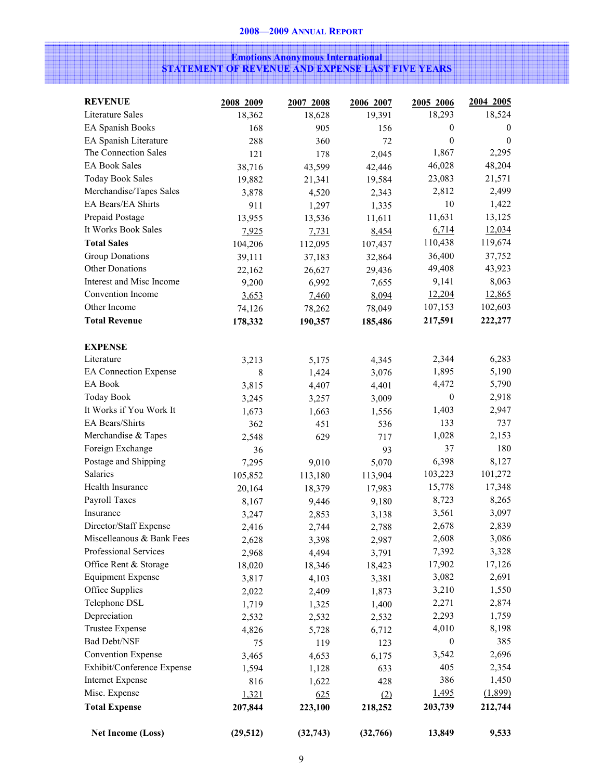## Emotions Anonymous International STATEMENT OF REVENUE AND EXPENSE LAST FIVE YEARS

| <b>REVENUE</b>             | 2008 2009 | 2007 2008 | 2006 2007 | 2005 2006    | 2004 2005      |
|----------------------------|-----------|-----------|-----------|--------------|----------------|
| Literature Sales           | 18,362    | 18,628    | 19,391    | 18,293       | 18,524         |
| EA Spanish Books           | 168       | 905       | 156       | $\mathbf{0}$ | $\overline{0}$ |
| EA Spanish Literature      | 288       | 360       | 72        | $\mathbf{0}$ | $\overline{0}$ |
| The Connection Sales       | 121       | 178       | 2,045     | 1,867        | 2,295          |
| <b>EA Book Sales</b>       | 38,716    | 43,599    | 42,446    | 46,028       | 48,204         |
| <b>Today Book Sales</b>    | 19,882    | 21,341    | 19,584    | 23,083       | 21,571         |
| Merchandise/Tapes Sales    | 3,878     | 4,520     | 2,343     | 2,812        | 2,499          |
| EA Bears/EA Shirts         | 911       | 1,297     | 1,335     | 10           | 1,422          |
| Prepaid Postage            | 13,955    | 13,536    | 11,611    | 11,631       | 13,125         |
| It Works Book Sales        | 7,925     | 7,731     | 8,454     | 6,714        | 12,034         |
| <b>Total Sales</b>         | 104,206   | 112,095   | 107,437   | 110,438      | 119,674        |
| <b>Group Donations</b>     | 39,111    | 37,183    | 32,864    | 36,400       | 37,752         |
| Other Donations            | 22,162    | 26,627    | 29,436    | 49,408       | 43,923         |
| Interest and Misc Income   | 9,200     | 6,992     | 7,655     | 9,141        | 8,063          |
| Convention Income          | 3,653     | 7,460     | 8,094     | 12,204       | 12,865         |
| Other Income               | 74,126    | 78,262    | 78,049    | 107,153      | 102,603        |
| <b>Total Revenue</b>       | 178,332   | 190,357   | 185,486   | 217,591      | 222,277        |
|                            |           |           |           |              |                |
| <b>EXPENSE</b>             |           |           |           |              |                |
| Literature                 | 3,213     | 5,175     | 4,345     | 2,344        | 6,283          |
| EA Connection Expense      | 8         | 1,424     | 3,076     | 1,895        | 5,190          |
| EA Book                    | 3,815     | 4,407     | 4,401     | 4,472        | 5,790          |
| <b>Today Book</b>          | 3,245     | 3,257     | 3,009     | $\mathbf{0}$ | 2,918          |
| It Works if You Work It    | 1,673     | 1,663     | 1,556     | 1,403        | 2,947          |
| EA Bears/Shirts            | 362       | 451       | 536       | 133          | 737            |
| Merchandise & Tapes        | 2,548     | 629       | 717       | 1,028        | 2,153          |
| Foreign Exchange           | 36        |           | 93        | 37           | 180            |
| Postage and Shipping       | 7,295     | 9,010     | 5,070     | 6,398        | 8,127          |
| Salaries                   | 105,852   | 113,180   | 113,904   | 103,223      | 101,272        |
| Health Insurance           | 20,164    | 18,379    | 17,983    | 15,778       | 17,348         |
| Payroll Taxes              | 8,167     | 9,446     | 9,180     | 8,723        | 8,265          |
| Insurance                  | 3,247     | 2,853     | 3,138     | 3,561        | 3,097          |
| Director/Staff Expense     | 2,416     | 2,744     | 2,788     | 2,678        | 2,839          |
| Miscelleanous & Bank Fees  | 2,628     | 3,398     | 2,987     | 2,608        | 3,086          |
| Professional Services      | 2,968     | 4,494     | 3,791     | 7,392        | 3,328          |
| Office Rent & Storage      | 18,020    | 18,346    | 18,423    | 17,902       | 17,126         |
| <b>Equipment Expense</b>   | 3,817     | 4,103     | 3,381     | 3,082        | 2,691          |
| Office Supplies            | 2,022     | 2,409     | 1,873     | 3,210        | 1,550          |
| Telephone DSL              | 1,719     | 1,325     | 1,400     | 2,271        | 2,874          |
| Depreciation               | 2,532     | 2,532     | 2,532     | 2,293        | 1,759          |
| <b>Trustee Expense</b>     | 4,826     | 5,728     | 6,712     | 4,010        | 8,198          |
| <b>Bad Debt/NSF</b>        | 75        | 119       | 123       | $\mathbf{0}$ | 385            |
| <b>Convention Expense</b>  | 3,465     | 4,653     | 6,175     | 3,542        | 2,696          |
| Exhibit/Conference Expense | 1,594     | 1,128     | 633       | 405          | 2,354          |
| <b>Internet Expense</b>    | 816       | 1,622     | 428       | 386          | 1,450          |
| Misc. Expense              | 1,321     | 625       | (2)       | 1,495        | (1,899)        |
| <b>Total Expense</b>       | 207,844   | 223,100   | 218,252   | 203,739      | 212,744        |
| <b>Net Income (Loss)</b>   | (29, 512) | (32, 743) | (32,766)  | 13,849       | 9,533          |
|                            |           |           |           |              |                |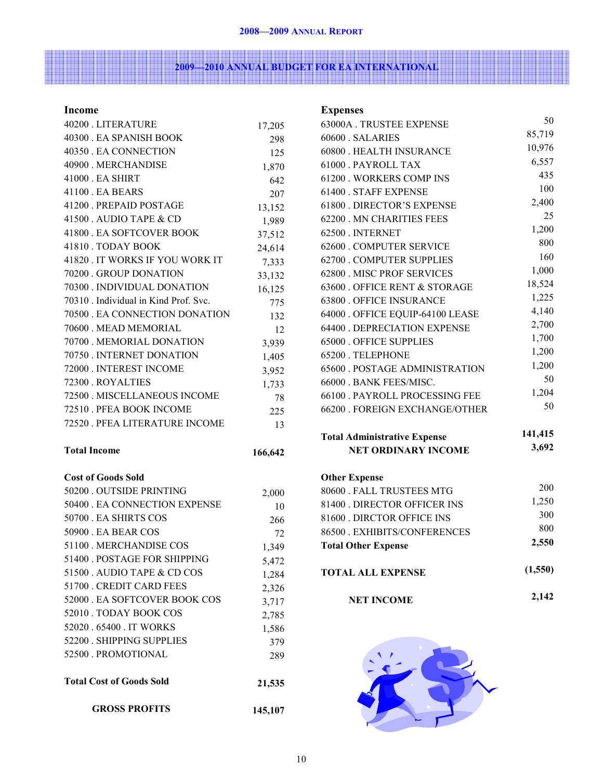and the state of the state of the

## 2009—2010 ANNUAL BUDGET FOR EA INTERNATIONAL

## Income

| 40200 . LITERATURE                    | 17,205  |
|---------------------------------------|---------|
| 40300 . EA SPANISH BOOK               | 298     |
| 40350 . EA CONNECTION                 | 125     |
| 40900 . MERCHANDISE                   | 1,870   |
| 41000 . EA SHIRT                      | 642     |
| 41100 . EA BEARS                      | 207     |
| 41200 . PREPAID POSTAGE               | 13,152  |
| 41500 . AUDIO TAPE & CD               | 1,989   |
| 41800 . EA SOFTCOVER BOOK             | 37,512  |
| 41810 . TODAY BOOK                    | 24,614  |
| 41820 . IT WORKS IF YOU WORK IT       | 7,333   |
| 70200 GROUP DONATION                  | 33,132  |
| 70300 . INDIVIDUAL DONATION           | 16,125  |
| 70310 . Individual in Kind Prof. Svc. | 775     |
| 70500 . EA CONNECTION DONATION        | 132     |
| 70600 . MEAD MEMORIAL                 | 12      |
| 70700 . MEMORIAL DONATION             | 3,939   |
| 70750 . INTERNET DONATION             | 1,405   |
| 72000 . INTEREST INCOME               | 3,952   |
| 72300 . ROYALTIES                     | 1,733   |
| 72500 . MISCELLANEOUS INCOME          | 78      |
| 72510 . PFEA BOOK INCOME              | 225     |
|                                       |         |
| 72520 . PFEA LITERATURE INCOME        | 13      |
| <b>Total Income</b>                   | 166,642 |
|                                       |         |
| <b>Cost of Goods Sold</b>             |         |
| 50200 . OUTSIDE PRINTING              | 2,000   |
| 50400 . EA CONNECTION EXPENSE         | 10      |
| 50700 . EA SHIRTS COS                 | 266     |
| 50900. EA BEAR COS                    | 72      |
| 51100 . MERCHANDISE COS               | 1,349   |
| 51400 . POSTAGE FOR SHIPPING          | 5,472   |
| 51500 . AUDIO TAPE & CD COS           | 1,284   |
| 51700 . CREDIT CARD FEES              | 2,326   |
| 52000 . EA SOFTCOVER BOOK COS         | 3,717   |
| 52010 . TODAY BOOK COS                | 2,785   |
| 52020 . 65400 . IT WORKS              | 1,586   |
| 52200 . SHIPPING SUPPLIES             | 379     |
| 52500 PROMOTIONAL                     | 289     |
| <b>Total Cost of Goods Sold</b>       | 21,535  |

| <b>Expenses</b>                       |         |
|---------------------------------------|---------|
| 63000A. TRUSTEE EXPENSE               | 50      |
| 60600 SALARIES                        | 85,719  |
| 60800 . HEALTH INSURANCE              | 10,976  |
| 61000 PAYROLL TAX                     | 6,557   |
| 61200 . WORKERS COMP INS              | 435     |
| 61400 . STAFF EXPENSE                 | 100     |
| 61800 DIRECTOR'S EXPENSE              | 2,400   |
| 62200 . MN CHARITIES FEES             | 25      |
| 62500. INTERNET                       | 1,200   |
| 62600 . COMPUTER SERVICE              | 800     |
| 62700 . COMPUTER SUPPLIES             | 160     |
| 62800 . MISC PROF SERVICES            | 1,000   |
| 63600 . OFFICE RENT & STORAGE         | 18,524  |
| 63800 . OFFICE INSURANCE              | 1,225   |
| 64000 . OFFICE EQUIP-64100 LEASE      | 4,140   |
| 64400 . DEPRECIATION EXPENSE          | 2,700   |
| <b>65000 . OFFICE SUPPLIES</b>        | 1,700   |
| 65200. TELEPHONE                      | 1,200   |
| <b>65600 . POSTAGE ADMINISTRATION</b> | 1,200   |
| 66000 . BANK FEES/MISC.               | 50      |
| 66100 PAYROLL PROCESSING FEE          | 1,204   |
| 66200 . FOREIGN EXCHANGE/OTHER        | 50      |
| <b>Total Administrative Expense</b>   | 141,415 |
| <b>NET ORDINARY INCOME</b>            | 3,692   |
| <b>Other Expense</b>                  |         |
| 80600 . FALL TRUSTEES MTG             | 200     |
| 81400 . DIRECTOR OFFICER INS          | 1,250   |
| 81600 . DIRCTOR OFFICE INS            | 300     |
| 86500 . EXHIBITS/CONFERENCES          | 800     |
| <b>Total Other Expense</b>            | 2,550   |
| <b>TOTAL ALL EXPENSE</b>              | (1,550) |
| <b>NET INCOME</b>                     | 2,142   |

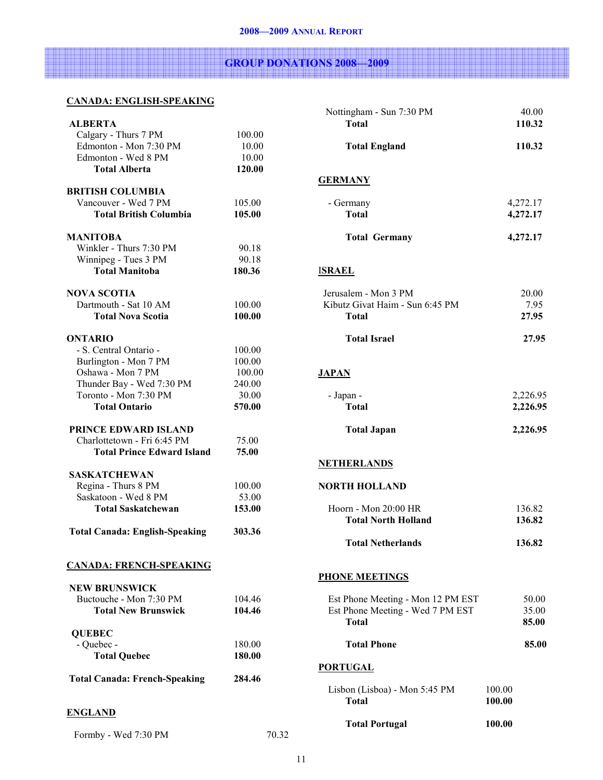# GROUP DONATIONS 2008—2009

## CANADA: ENGLISH-SPEAKING

| <b>ALBERTA</b>                        |        |  |
|---------------------------------------|--------|--|
| Calgary - Thurs 7 PM                  | 100.00 |  |
| Edmonton - Mon 7:30 PM                | 10.00  |  |
| Edmonton - Wed 8 PM                   | 10.00  |  |
| <b>Total Alberta</b>                  | 120.00 |  |
|                                       |        |  |
| <b>BRITISH COLUMBIA</b>               |        |  |
| Vancouver - Wed 7 PM                  | 105.00 |  |
| <b>Total British Columbia</b>         | 105.00 |  |
|                                       |        |  |
| MANITOBA                              |        |  |
| Winkler - Thurs 7:30 PM               | 90.18  |  |
| Winnipeg - Tues 3 PM                  | 90.18  |  |
| <b>Total Manitoba</b>                 | 180.36 |  |
| <b>NOVA SCOTIA</b>                    |        |  |
| Dartmouth - Sat 10 AM                 | 100.00 |  |
| <b>Total Nova Scotia</b>              | 100.00 |  |
|                                       |        |  |
| <b>ONTARIO</b>                        |        |  |
| - S. Central Ontario -                | 100.00 |  |
| Burlington - Mon 7 PM                 | 100.00 |  |
| Oshawa - Mon 7 PM                     | 100.00 |  |
| Thunder Bay - Wed 7:30 PM             | 240.00 |  |
| Toronto - Mon 7:30 PM                 | 30.00  |  |
| <b>Total Ontario</b>                  | 570.00 |  |
|                                       |        |  |
| PRINCE EDWARD ISLAND                  |        |  |
| Charlottetown - Fri 6:45 PM           | 75.00  |  |
| <b>Total Prince Edward Island</b>     | 75.00  |  |
| SASKATCHEWAN                          |        |  |
| Regina - Thurs 8 PM                   | 100.00 |  |
| Saskatoon - Wed 8 PM                  | 53.00  |  |
| <b>Total Saskatchewan</b>             | 153.00 |  |
|                                       |        |  |
| <b>Total Canada: English-Speaking</b> | 303.36 |  |
|                                       |        |  |
|                                       |        |  |
| <b>CANADA: FRENCH-SPEAKING</b>        |        |  |
|                                       |        |  |
| <b>NEW BRUNSWICK</b>                  |        |  |
| Buctouche - Mon 7:30 PM               | 104.46 |  |
| <b>Total New Brunswick</b>            | 104.46 |  |
| <b>QUEBEC</b>                         |        |  |
|                                       |        |  |
|                                       |        |  |
| - Quebec -                            | 180.00 |  |
| <b>Total Quebec</b>                   | 180.00 |  |
|                                       | 284.46 |  |
| <b>Total Canada: French-Speaking</b>  |        |  |
|                                       |        |  |
| <b>ENGLAND</b>                        |        |  |

Formby - Wed 7:30 PM 70.32

| Nottingham - Sun 7:30 PM<br><b>Total</b>                                              | 40.00<br>110.32         |
|---------------------------------------------------------------------------------------|-------------------------|
| <b>Total England</b>                                                                  | 110.32                  |
| <b>GERMANY</b>                                                                        |                         |
| - Germany<br><b>Total</b>                                                             | 4,272.17<br>4,272.17    |
| <b>Total Germany</b>                                                                  | 4,272.17                |
| <b>ISRAEL</b>                                                                         |                         |
| Jerusalem - Mon 3 PM<br>Kibutz Givat Haim - Sun 6:45 PM<br>Total                      | 20.00<br>7.95<br>27.95  |
| <b>Total Israel</b>                                                                   | 27.95                   |
| <b>JAPAN</b>                                                                          |                         |
| - Japan -<br><b>Total</b>                                                             | 2,226.95<br>2,226.95    |
| <b>Total Japan</b>                                                                    | 2,226.95                |
| <b>NETHERLANDS</b>                                                                    |                         |
| <b>NORTH HOLLAND</b>                                                                  |                         |
| Hoorn - Mon 20:00 HR<br><b>Total North Holland</b>                                    | 136.82<br>136.82        |
| <b>Total Netherlands</b>                                                              | 136.82                  |
| <b>PHONE MEETINGS</b>                                                                 |                         |
| Est Phone Meeting - Mon 12 PM EST<br>Est Phone Meeting - Wed 7 PM EST<br><b>Total</b> | 50.00<br>35.00<br>85.00 |
|                                                                                       |                         |
| <b>Total Phone</b>                                                                    | 85.00                   |
| <b>PORTUGAL</b>                                                                       |                         |
| Lisbon (Lisboa) - Mon 5:45 PM<br><b>Total</b>                                         | 100.00<br>100.00        |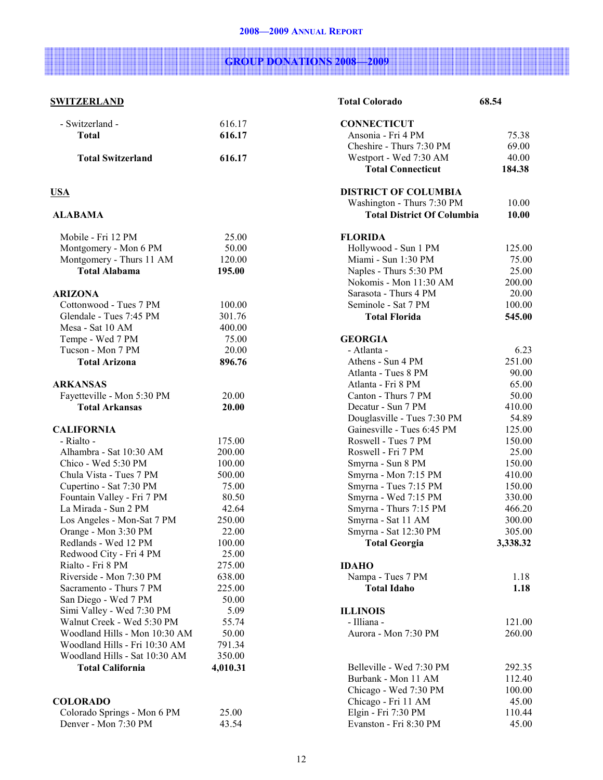# GROUP DONATIONS 2008—2009

## **SWITZERLAND**

| - Switzerland -                                     | 616.17          |
|-----------------------------------------------------|-----------------|
| <b>Total</b>                                        | 616.17          |
| <b>Total Switzerland</b>                            | 616.17          |
| USA                                                 |                 |
| <b>ALABAMA</b>                                      |                 |
| Mobile - Fri 12 PM                                  | 25.00           |
| Montgomery - Mon 6 PM                               | 50.00           |
| Montgomery - Thurs 11 AM                            | 120.00          |
| <b>Total Alabama</b>                                | 195.00          |
| <b>ARIZONA</b>                                      |                 |
| Cottonwood - Tues 7 PM                              | 100.00          |
| Glendale - Tues 7:45 PM                             | 301.76          |
| Mesa - Sat 10 AM                                    | 400.00          |
| Tempe - Wed 7 PM                                    | 75.00           |
| Tucson - Mon 7 PM                                   | 20.00           |
| <b>Total Arizona</b>                                | 896.76          |
| <b>ARKANSAS</b>                                     |                 |
| Fayetteville - Mon 5:30 PM                          | 20.00           |
| <b>Total Arkansas</b>                               | 20.00           |
| <b>CALIFORNIA</b>                                   |                 |
| - Rialto -                                          | 175.00          |
| Alhambra - Sat 10:30 AM                             | 200.00          |
| Chico - Wed 5:30 PM                                 | 100.00          |
| Chula Vista - Tues 7 PM                             | 500.00          |
| Cupertino - Sat 7:30 PM                             | 75.00           |
| Fountain Valley - Fri 7 PM                          | 80.50           |
| La Mirada - Sun 2 PM                                | 42.64           |
| Los Angeles - Mon-Sat 7 PM                          | 250.00          |
| Orange - Mon 3:30 PM                                | 22.00           |
| Redlands - Wed 12 PM<br>Redwood City - Fri 4 PM     | 100.00<br>25.00 |
| Rialto - Fri 8 PM                                   | 275.00          |
| Riverside - Mon 7:30 PM                             | 638.00          |
| Sacramento - Thurs 7 PM                             | 225.00          |
| San Diego - Wed 7 PM                                | 50.00           |
| Simi Valley - Wed 7:30 PM                           | 5.09            |
| Walnut Creek - Wed 5:30 PM                          | 55.74           |
| Woodland Hills - Mon 10:30 AM                       | 50.00           |
| Woodland Hills - Fri 10:30 AM                       | 791.34          |
| Woodland Hills - Sat 10:30 AM                       | 350.00          |
| <b>Total California</b>                             | 4,010.31        |
|                                                     |                 |
| <b>COLORADO</b>                                     |                 |
| Colorado Springs - Mon 6 PM<br>Denver - Mon 7:30 PM | 25.00<br>43.54  |
|                                                     |                 |

| <b>Total Colorado</b>                        | 68.54    |
|----------------------------------------------|----------|
| <b>CONNECTICUT</b>                           |          |
| Ansonia - Fri 4 PM                           | 75.38    |
| Cheshire - Thurs 7:30 PM                     | 69.00    |
| Westport - Wed 7:30 AM                       | 40.00    |
| <b>Total Connecticut</b>                     | 184.38   |
| <b>DISTRICT OF COLUMBIA</b>                  |          |
| Washington - Thurs 7:30 PM                   | 10.00    |
| <b>Total District Of Columbia</b>            | 10.00    |
| <b>FLORIDA</b>                               |          |
| Hollywood - Sun 1 PM                         | 125.00   |
| Miami - Sun 1:30 PM                          | 75.00    |
| Naples - Thurs 5:30 PM                       | 25.00    |
| Nokomis - Mon 11:30 AM                       | 200.00   |
| Sarasota - Thurs 4 PM                        | 20.00    |
| Seminole - Sat 7 PM                          | 100.00   |
| <b>Total Florida</b>                         | 545.00   |
| <b>GEORGIA</b>                               |          |
| - Atlanta -                                  | 6.23     |
| Athens - Sun 4 PM                            | 251.00   |
| Atlanta - Tues 8 PM                          | 90.00    |
| Atlanta - Fri 8 PM                           | 65.00    |
| Canton - Thurs 7 PM                          | 50.00    |
| Decatur - Sun 7 PM                           | 410.00   |
|                                              |          |
| Douglasville - Tues 7:30 PM                  | 54.89    |
| Gainesville - Tues 6:45 PM                   | 125.00   |
| Roswell - Tues 7 PM                          | 150.00   |
| Roswell - Fri 7 PM                           | 25.00    |
| Smyrna - Sun 8 PM                            | 150.00   |
| Smyrna - Mon 7:15 PM                         | 410.00   |
| Smyrna - Tues 7:15 PM                        | 150.00   |
| Smyrna - Wed 7:15 PM                         | 330.00   |
| Smyrna - Thurs 7:15 PM                       | 466.20   |
| Smyrna - Sat 11 AM                           | 300.00   |
| Smyrna - Sat 12:30 PM                        | 305.00   |
| <b>Total Georgia</b>                         | 3,338.32 |
| <b>IDAHO</b>                                 |          |
| Nampa - Tues 7 PM                            | 1.18     |
| <b>Total Idaho</b>                           | 1.18     |
| <b>ILLINOIS</b>                              |          |
| - Illiana -                                  | 121.00   |
| Aurora - Mon 7:30 PM                         | 260.00   |
|                                              |          |
| Belleville - Wed 7:30 PM                     | 292.35   |
| Burbank - Mon 11 AM                          | 112.40   |
|                                              | 100.00   |
| Chicago - Wed 7:30 PM<br>Chicago - Fri 11 AM | 45.00    |
| Elgin - Fri 7:30 PM                          | 110.44   |
| Evanston - Fri 8:30 PM                       | 45.00    |
|                                              |          |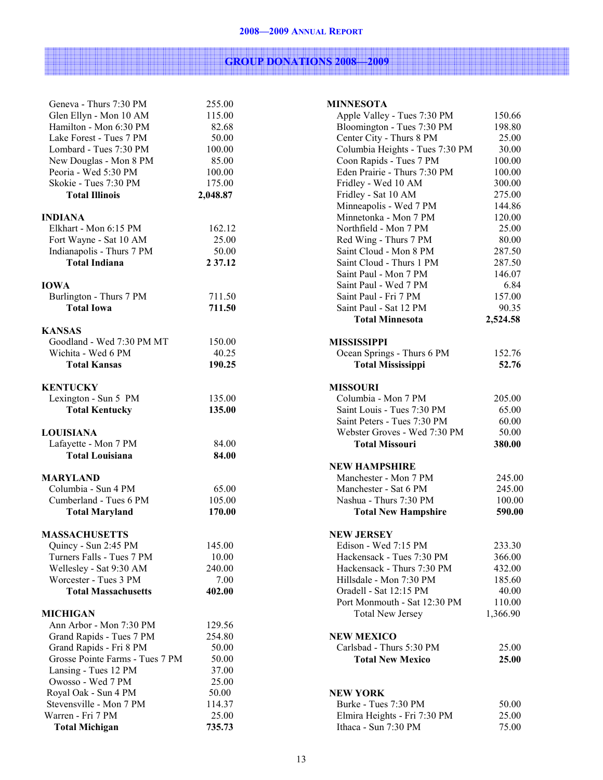#### 2008—2009 ANNUAL REPORT

# GROUP DONATIONS 2008—2009

| Geneva - Thurs 7:30 PM                       | 255.00           |
|----------------------------------------------|------------------|
| Glen Ellyn - Mon 10 AM                       | 115.00           |
| Hamilton - Mon 6:30 PM                       | 82.68            |
| Lake Forest - Tues 7 PM                      | 50.00            |
| Lombard - Tues 7:30 PM                       | 100.00           |
| New Douglas - Mon 8 PM                       | 85.00            |
| Peoria - Wed 5:30 PM                         | 100.00           |
| Skokie - Tues 7:30 PM                        | 175.00           |
| <b>Total Illinois</b>                        | 2,048.87         |
| <b>INDIANA</b>                               |                  |
| Elkhart - Mon 6:15 PM                        | 162.12           |
| Fort Wayne - Sat 10 AM                       | 25.00            |
| Indianapolis - Thurs 7 PM                    | 50.00            |
| <b>Total Indiana</b>                         | 2 37.12          |
|                                              |                  |
| <b>IOWA</b>                                  |                  |
| Burlington - Thurs 7 PM<br><b>Total Iowa</b> | 711.50<br>711.50 |
|                                              |                  |
| <b>KANSAS</b>                                |                  |
| Goodland - Wed 7:30 PM MT                    | 150.00           |
| Wichita - Wed 6 PM                           | 40.25            |
| <b>Total Kansas</b>                          | 190.25           |
|                                              |                  |
| <b>KENTUCKY</b>                              |                  |
| Lexington - Sun 5 PM                         | 135.00           |
| <b>Total Kentucky</b>                        | 135.00           |
| <b>LOUISIANA</b>                             |                  |
| Lafayette - Mon 7 PM                         | 84.00            |
| <b>Total Louisiana</b>                       | 84.00            |
|                                              |                  |
| <b>MARYLAND</b>                              |                  |
| Columbia - Sun 4 PM                          | 65.00            |
| Cumberland - Tues 6 PM                       | 105.00           |
| <b>Total Maryland</b>                        | 170.00           |
| <b>MASSACHUSETTS</b>                         |                  |
| Quincy - Sun 2:45 PM                         | 145.00           |
| Turners Falls - Tues 7 PM                    | 10.00            |
| Wellesley - Sat 9:30 AM                      | 240.00           |
| Worcester - Tues 3 PM                        | 7.00             |
| <b>Total Massachusetts</b>                   | 402.00           |
|                                              |                  |
| <b>MICHIGAN</b><br>Ann Arbor - Mon 7:30 PM   | 129.56           |
| Grand Rapids - Tues 7 PM                     | 254.80           |
| Grand Rapids - Fri 8 PM                      | 50.00            |
| Grosse Pointe Farms - Tues 7 PM              | 50.00            |
|                                              | 37.00            |
| Lansing - Tues 12 PM<br>Owosso - Wed 7 PM    | 25.00            |
| Royal Oak - Sun 4 PM                         | 50.00            |
| Stevensville - Mon 7 PM                      | 114.37           |
| Warren - Fri 7 PM                            | 25.00            |
| <b>Total Michigan</b>                        | 735.73           |

| <b>MINNESOTA</b>                                |                  |
|-------------------------------------------------|------------------|
| Apple Valley - Tues 7:30 PM                     | 150.66           |
| Bloomington - Tues 7:30 PM                      | 198.80           |
| Center City - Thurs 8 PM                        | 25.00            |
| Columbia Heights - Tues 7:30 PM                 | 30.00            |
| Coon Rapids - Tues 7 PM                         | 100.00           |
| Eden Prairie - Thurs 7:30 PM                    | 100.00           |
| Fridley - Wed 10 AM                             | 300.00           |
| Fridley - Sat 10 AM                             | 275.00           |
| Minneapolis - Wed 7 PM<br>Minnetonka - Mon 7 PM | 144.86           |
| Northfield - Mon 7 PM                           | 120.00<br>25.00  |
| Red Wing - Thurs 7 PM                           | 80.00            |
| Saint Cloud - Mon 8 PM                          | 287.50           |
| Saint Cloud - Thurs 1 PM                        | 287.50           |
| Saint Paul - Mon 7 PM                           | 146.07           |
| Saint Paul - Wed 7 PM                           | 6.84             |
| Saint Paul - Fri 7 PM                           | 157.00           |
| Saint Paul - Sat 12 PM                          | 90.35            |
| <b>Total Minnesota</b>                          | 2,524.58         |
| <b>MISSISSIPPI</b>                              |                  |
| Ocean Springs - Thurs 6 PM                      | 152.76           |
| <b>Total Mississippi</b>                        | 52.76            |
|                                                 |                  |
| <b>MISSOURI</b>                                 |                  |
| Columbia - Mon 7 PM                             | 205.00           |
| Saint Louis - Tues 7:30 PM                      | 65.00            |
| Saint Peters - Tues 7:30 PM                     | 60.00            |
| Webster Groves - Wed 7:30 PM                    | 50.00            |
| <b>Total Missouri</b>                           | 380.00           |
| <b>NEW HAMPSHIRE</b>                            |                  |
| Manchester - Mon 7 PM                           | 245.00           |
| Manchester - Sat 6 PM                           | 245.00           |
| Nashua - Thurs 7:30 PM                          | 100.00           |
| <b>Total New Hampshire</b>                      | 590.00           |
|                                                 |                  |
| <b>NEW JERSEY</b><br>Edison - Wed 7:15 PM       |                  |
| Hackensack - Tues 7:30 PM                       | 233.30<br>366.00 |
| Hackensack - Thurs 7:30 PM                      | 432.00           |
| Hillsdale - Mon 7:30 PM                         | 185.60           |
| Oradell - Sat 12:15 PM                          | 40.00            |
| Port Monmouth - Sat 12:30 PM                    | 110.00           |
| <b>Total New Jersey</b>                         | 1,366.90         |
|                                                 |                  |
| <b>NEW MEXICO</b>                               |                  |
| Carlsbad - Thurs 5:30 PM                        | 25.00            |
| <b>Total New Mexico</b>                         | 25.00            |
|                                                 |                  |
| <b>NEW YORK</b>                                 |                  |
| Burke - Tues 7:30 PM                            | 50.00            |
| Elmira Heights - Fri 7:30 PM                    | 25.00            |
| Ithaca - Sun 7:30 PM                            | 75.00            |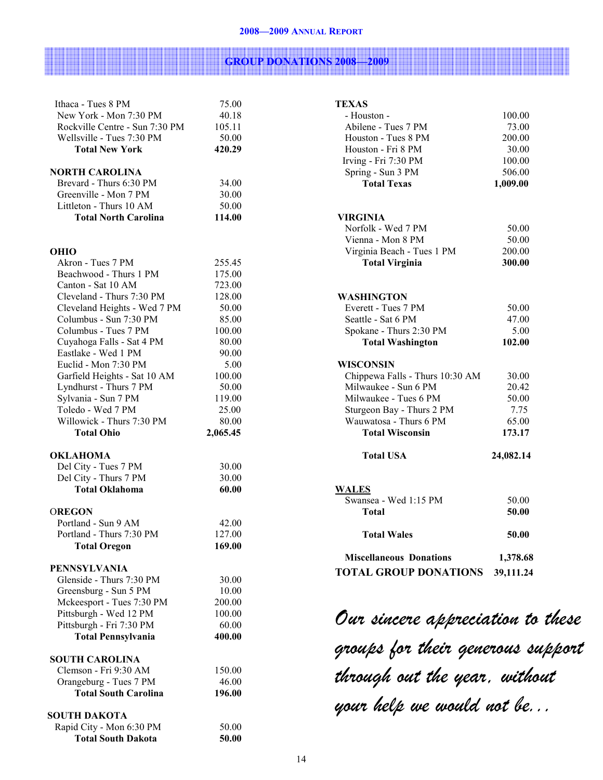#### 2008—2009 ANNUAL REPORT

## <u> Tanzania (h. 1888).</u> GROUP DONATIONS 2008—2009

| Ithaca - Tues 8 PM             | 75.00    |
|--------------------------------|----------|
| New York - Mon 7:30 PM         | 40.18    |
| Rockville Centre - Sun 7:30 PM | 105.11   |
| Wellsville - Tues 7:30 PM      | 50.00    |
| <b>Total New York</b>          | 420.29   |
|                                |          |
| <b>NORTH CAROLINA</b>          |          |
| Brevard - Thurs 6:30 PM        | 34.00    |
| Greenville - Mon 7 PM          | 30.00    |
| Littleton - Thurs 10 AM        | 50.00    |
| <b>Total North Carolina</b>    | 114.00   |
|                                |          |
| <b>OHIO</b>                    |          |
| Akron - Tues 7 PM              | 255.45   |
| Beachwood - Thurs 1 PM         | 175.00   |
| Canton - Sat 10 AM             | 723.00   |
| Cleveland - Thurs 7:30 PM      | 128.00   |
| Cleveland Heights - Wed 7 PM   | 50.00    |
| Columbus - Sun 7:30 PM         | 85.00    |
| Columbus - Tues 7 PM           | 100.00   |
| Cuyahoga Falls - Sat 4 PM      | 80.00    |
| Eastlake - Wed 1 PM            | 90.00    |
| Euclid - Mon 7:30 PM           |          |
|                                | 5.00     |
| Garfield Heights - Sat 10 AM   | 100.00   |
| Lyndhurst - Thurs 7 PM         | 50.00    |
| Sylvania - Sun 7 PM            | 119.00   |
| Toledo - Wed 7 PM              | 25.00    |
| Willowick - Thurs 7:30 PM      | 80.00    |
| <b>Total Ohio</b>              | 2,065.45 |
| <b>OKLAHOMA</b>                |          |
| Del City - Tues 7 PM           | 30.00    |
| Del City - Thurs 7 PM          | 30.00    |
| <b>Total Oklahoma</b>          | 60.00    |
|                                |          |
| <b>OREGON</b>                  |          |
| Portland - Sun 9 AM            | 42.00    |
| Portland - Thurs 7:30 PM       | 127.00   |
| <b>Total Oregon</b>            | 169.00   |
| <b>PENNSYLVANIA</b>            |          |
| Glenside - Thurs 7:30 PM       | 30.00    |
| Greensburg - Sun 5 PM          | 10.00    |
| Mckeesport - Tues 7:30 PM      | 200.00   |
| Pittsburgh - Wed 12 PM         | 100.00   |
| Pittsburgh - Fri 7:30 PM       | 60.00    |
| <b>Total Pennsylvania</b>      | 400.00   |
|                                |          |
| <b>SOUTH CAROLINA</b>          |          |
| Clemson - Fri 9:30 AM          | 150.00   |
| Orangeburg - Tues 7 PM         | 46.00    |
| <b>Total South Carolina</b>    | 196.00   |
|                                |          |
| SOUTH DAKOTA                   |          |
| Rapid City - Mon 6:30 PM       | 50.00    |
| <b>Total South Dakota</b>      | 50.00    |

| <b>TEXAS</b>                          |           |
|---------------------------------------|-----------|
| - Houston -                           | 100.00    |
| Abilene - Tues 7 PM                   | 73.00     |
| Houston - Tues 8 PM                   | 200.00    |
| Houston - Fri 8 PM                    | 30.00     |
| Irving - Fri 7:30 PM                  | 100.00    |
| Spring - Sun 3 PM                     | 506.00    |
| <b>Total Texas</b>                    | 1,009.00  |
|                                       |           |
| VIRGINIA                              |           |
| Norfolk - Wed 7 PM                    | 50.00     |
| Vienna - Mon 8 PM                     | 50.00     |
| Virginia Beach - Tues 1 PM            | 200.00    |
| <b>Total Virginia</b>                 | 300.00    |
|                                       |           |
| WASHINGTON                            |           |
| Everett - Tues 7 PM                   | 50.00     |
| Seattle - Sat 6 PM                    | 47.00     |
| Spokane - Thurs 2:30 PM               | 5.00      |
| <b>Total Washington</b>               | 102.00    |
| WISCONSIN                             |           |
| Chippewa Falls - Thurs 10:30 AM       | 30.00     |
| Milwaukee - Sun 6 PM                  | 20.42     |
| Milwaukee - Tues 6 PM                 | 50.00     |
| Sturgeon Bay - Thurs 2 PM             | 7.75      |
| Wauwatosa - Thurs 6 PM                | 65.00     |
| <b>Total Wisconsin</b>                | 173.17    |
| <b>Total USA</b>                      | 24,082.14 |
|                                       |           |
| <b>WALES</b><br>Swansea - Wed 1:15 PM | 50.00     |
| <b>Total</b>                          | 50.00     |
|                                       |           |
| <b>Total Wales</b>                    | 50.00     |
| <b>Miscellaneous Donations</b>        | 1,378.68  |
| <b>TOTAL GROUP DONATIONS</b>          | 39,111.24 |
|                                       |           |

Our sincere appreciation to these groups for their generous support through out the year, without your help we would not be...